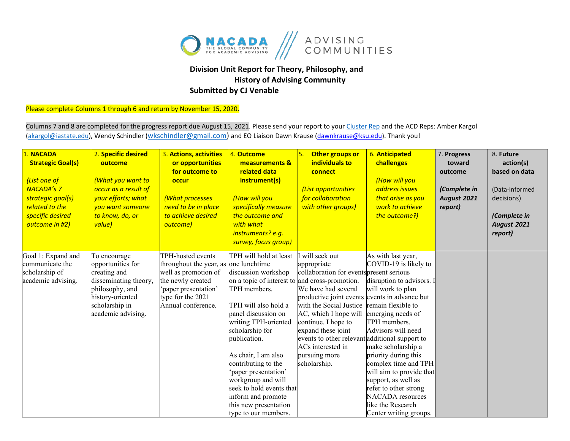

## **Division Unit Report for Theory, Philosophy, and History of Advising Community Submitted by CJ Venable**

Please complete Columns 1 through 6 and return by November 15, 2020.

Columns 7 and 8 are completed for the progress report due August 15, 2021. Please send your report to you[r Cluster Rep](https://nacada.ksu.edu/Portals/0/CandIGDivision/documents/2020ClusterReps.pdf?ver=2020-03-10-170345-173) and the ACD Reps: Amber Kargol [\(akargol@iastate.edu\)](mailto:akargol@iastate.edu), Wendy Schindler [\(wkschindler@gmail.com\)](mailto:wkschindler@gmail.com) and EO Liaison Dawn Krause (dawnkrause@ksu.edu). Thank you!

| 1. NACADA<br><b>Strategic Goal(s)</b><br>(List one of<br><b>NACADA's 7</b><br>strategic goal(s)<br>related to the<br>specific desired<br>outcome in #2) | 2. Specific desired<br>outcome<br><b>(What you want to</b><br>occur as a result of<br>your efforts; what<br>you want someone<br>to know, do, or<br>value) | 3. Actions, activities<br>or opportunities<br>for outcome to<br>occur<br>(What processes<br>need to be in place<br>to achieve desired<br>outcome)           | 4. Outcome<br>measurements &<br>related data<br>instrument(s)<br>(How will you<br>specifically measure<br>the outcome and<br>with what<br>instruments? e.g.<br>survey, focus group)                                                                                                                                                                                                                                                       | 5.<br>Other groups or<br>individuals to<br>connect<br>(List opportunities<br>for collaboration<br>with other groups)                                                                                                                                                                                                                                      | 6. Anticipated<br>challenges<br>(How will you<br>address issues<br>that arise as you<br>work to achieve<br>the outcome?)                                                                                                                                                                                                                                                                                   | 7. Progress<br>toward<br>outcome<br>(Complete in<br>August 2021<br>report) | 8. Future<br>action(s)<br>based on data<br>(Data-informed<br>decisions)<br>(Complete in<br>August 2021<br>report) |
|---------------------------------------------------------------------------------------------------------------------------------------------------------|-----------------------------------------------------------------------------------------------------------------------------------------------------------|-------------------------------------------------------------------------------------------------------------------------------------------------------------|-------------------------------------------------------------------------------------------------------------------------------------------------------------------------------------------------------------------------------------------------------------------------------------------------------------------------------------------------------------------------------------------------------------------------------------------|-----------------------------------------------------------------------------------------------------------------------------------------------------------------------------------------------------------------------------------------------------------------------------------------------------------------------------------------------------------|------------------------------------------------------------------------------------------------------------------------------------------------------------------------------------------------------------------------------------------------------------------------------------------------------------------------------------------------------------------------------------------------------------|----------------------------------------------------------------------------|-------------------------------------------------------------------------------------------------------------------|
| Goal 1: Expand and<br>communicate the<br>scholarship of<br>academic advising.                                                                           | To encourage<br>opportunities for<br>creating and<br>disseminating theory,<br>philosophy, and<br>history-oriented<br>scholarship in<br>academic advising. | TPH-hosted events<br>throughout the year, as<br>well as promotion of<br>the newly created<br>paper presentation'<br>type for the 2021<br>Annual conference. | TPH will hold at least<br>one lunchtime<br>discussion workshop<br>on a topic of interest to and cross-promotion.<br>TPH members.<br>TPH will also hold a<br>panel discussion on<br>writing TPH-oriented<br>scholarship for<br>publication.<br>As chair, I am also<br>contributing to the<br>'paper presentation'<br>workgroup and will<br>seek to hold events that<br>inform and promote<br>this new presentation<br>type to our members. | will seek out<br>appropriate<br>collaboration for events present serious<br>We have had several<br>productive joint events events in advance but<br>with the Social Justice<br>AC, which I hope will<br>continue. I hope to<br>expand these joint<br>events to other relevant additional support to<br>ACs interested in<br>pursuing more<br>scholarship. | As with last year,<br>COVID-19 is likely to<br>disruption to advisors. I<br>will work to plan<br>remain flexible to<br>emerging needs of<br>TPH members.<br>Advisors will need<br>make scholarship a<br>priority during this<br>complex time and TPH<br>will aim to provide that<br>support, as well as<br>refer to other strong<br><b>NACADA</b> resources<br>like the Research<br>Center writing groups. |                                                                            |                                                                                                                   |